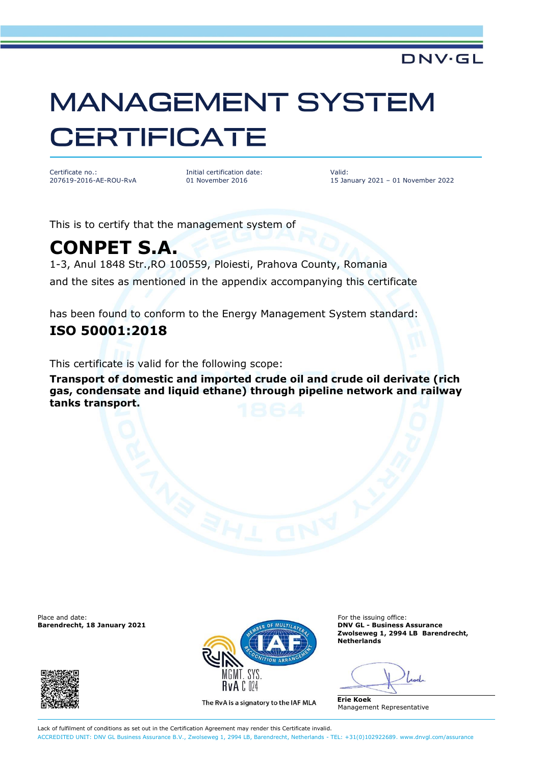# **MANAGEMENT SYSTEM CERTIFICATE**

Certificate no.: 207619-2016-AE-ROU-RvA Initial certification date: 01 November 2016

Valid: 15 January 2021 – 01 November 2022

**DNV·GL** 

This is to certify that the management system of

## **CONPET S.A.**

1-3, Anul 1848 Str.,RO 100559, Ploiesti, Prahova County, Romania and the sites as mentioned in the appendix accompanying this certificate

has been found to conform to the Energy Management System standard:

### **ISO 50001:2018**

This certificate is valid for the following scope:

**Transport of domestic and imported crude oil and crude oil derivate (rich gas, condensate and liquid ethane) through pipeline network and railway tanks transport.**





The RvA is a signatory to the IAF MLA

**Barendrecht, 18 January 2021 DNV GL - Business Assurance Zwolseweg 1, 2994 LB Barendrecht, Netherlands**

**Erie Koek** Management Representative

Lack of fulfilment of conditions as set out in the Certification Agreement may render this Certificate invalid. ACCREDITED UNIT: DNV GL Business Assurance B.V., Zwolseweg 1, 2994 LB, Barendrecht, Netherlands - TEL: +31(0)102922689. [www.dnvgl.com/assurance](http://www.dnvgl.com/assurance)